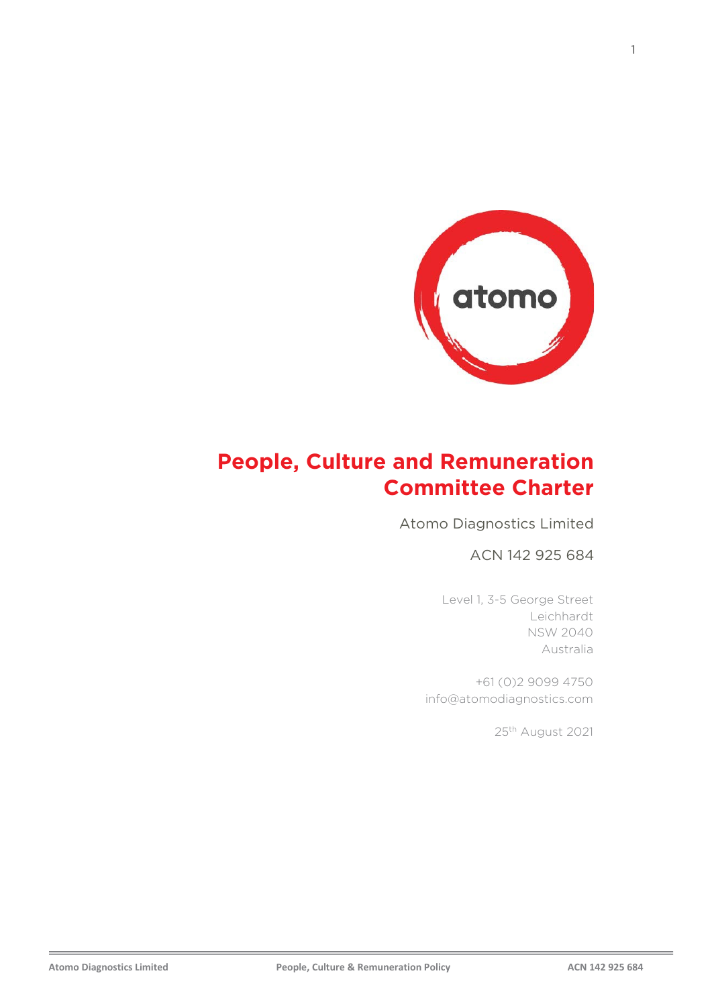

## **People, Culture and Remuneration Committee Charter**

Atomo Diagnostics Limited

ACN 142 925 684

Level 1, 3-5 George Street Leichhardt NSW 2040 Australia

+61 (0)2 9099 4750 info@atomodiagnostics.com

25th August 2021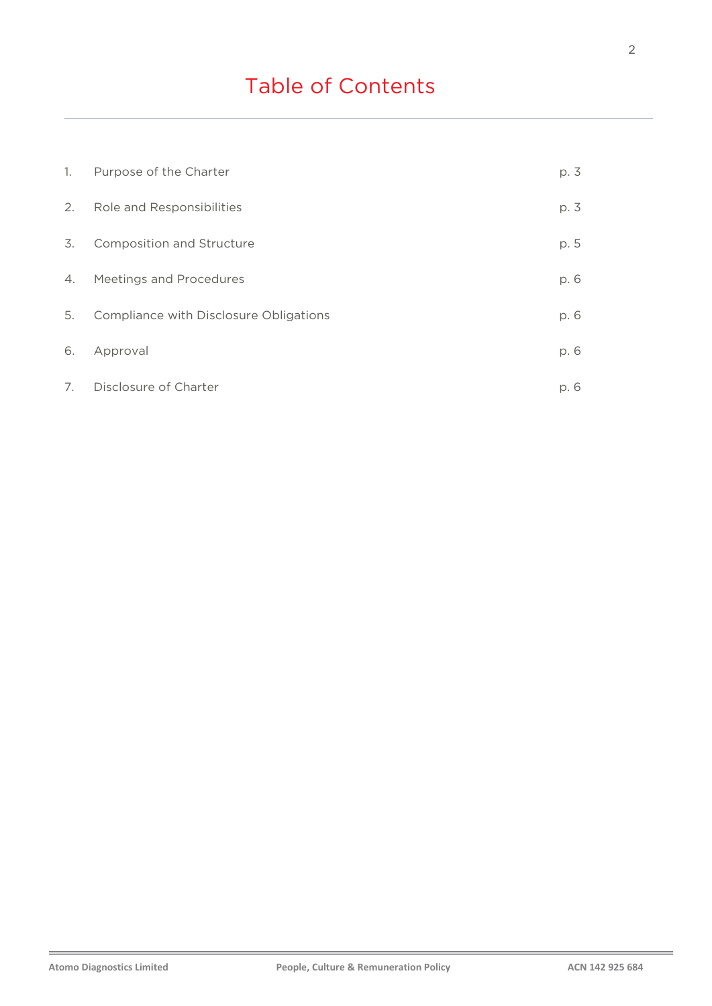# Table of Contents

| 1. | Purpose of the Charter                 | p. 3 |
|----|----------------------------------------|------|
| 2. | Role and Responsibilities              | p. 3 |
| 3. | <b>Composition and Structure</b>       | p. 5 |
| 4. | <b>Meetings and Procedures</b>         | p. 6 |
| 5. | Compliance with Disclosure Obligations | p. 6 |
| 6. | Approval                               | p. 6 |
| 7. | Disclosure of Charter                  | p. 6 |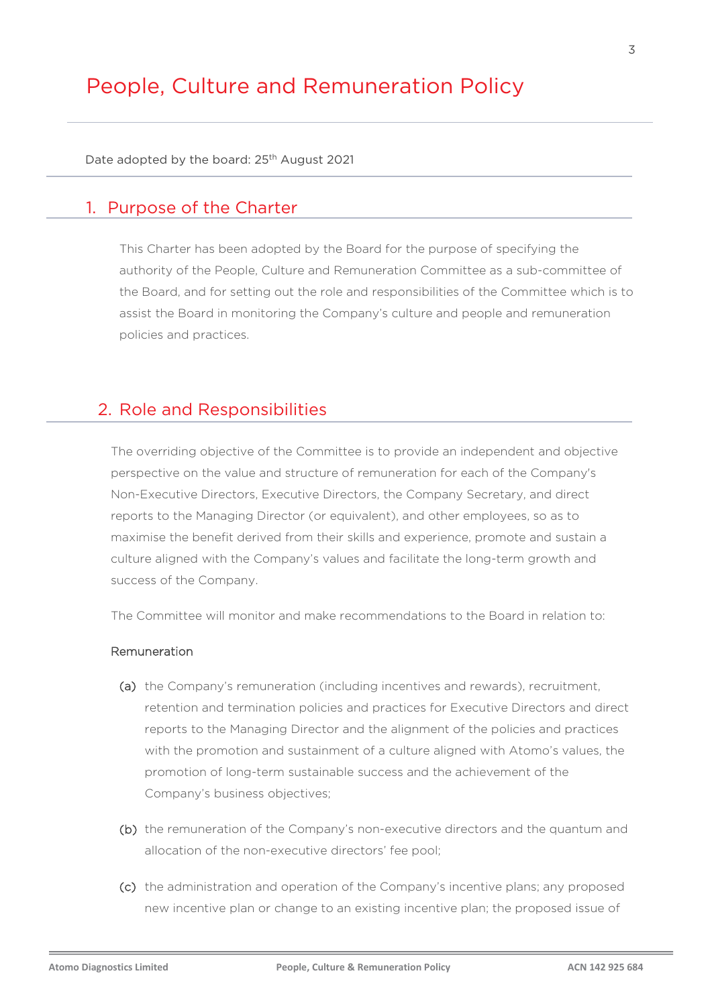## People, Culture and Remuneration Policy

Date adopted by the board: 25<sup>th</sup> August 2021

## 1. Purpose of the Charter

This Charter has been adopted by the Board for the purpose of specifying the authority of the People, Culture and Remuneration Committee as a sub-committee of the Board, and for setting out the role and responsibilities of the Committee which is to assist the Board in monitoring the Company's culture and people and remuneration policies and practices.

## 2. Role and Responsibilities

The overriding objective of the Committee is to provide an independent and objective perspective on the value and structure of remuneration for each of the Company's Non-Executive Directors, Executive Directors, the Company Secretary, and direct reports to the Managing Director (or equivalent), and other employees, so as to maximise the benefit derived from their skills and experience, promote and sustain a culture aligned with the Company's values and facilitate the long-term growth and success of the Company.

The Committee will monitor and make recommendations to the Board in relation to:

#### Remuneration

- (a) the Company's remuneration (including incentives and rewards), recruitment, retention and termination policies and practices for Executive Directors and direct reports to the Managing Director and the alignment of the policies and practices with the promotion and sustainment of a culture aligned with Atomo's values, the promotion of long-term sustainable success and the achievement of the Company's business objectives;
- (b) the remuneration of the Company's non-executive directors and the quantum and allocation of the non-executive directors' fee pool;
- (c) the administration and operation of the Company's incentive plans; any proposed new incentive plan or change to an existing incentive plan; the proposed issue of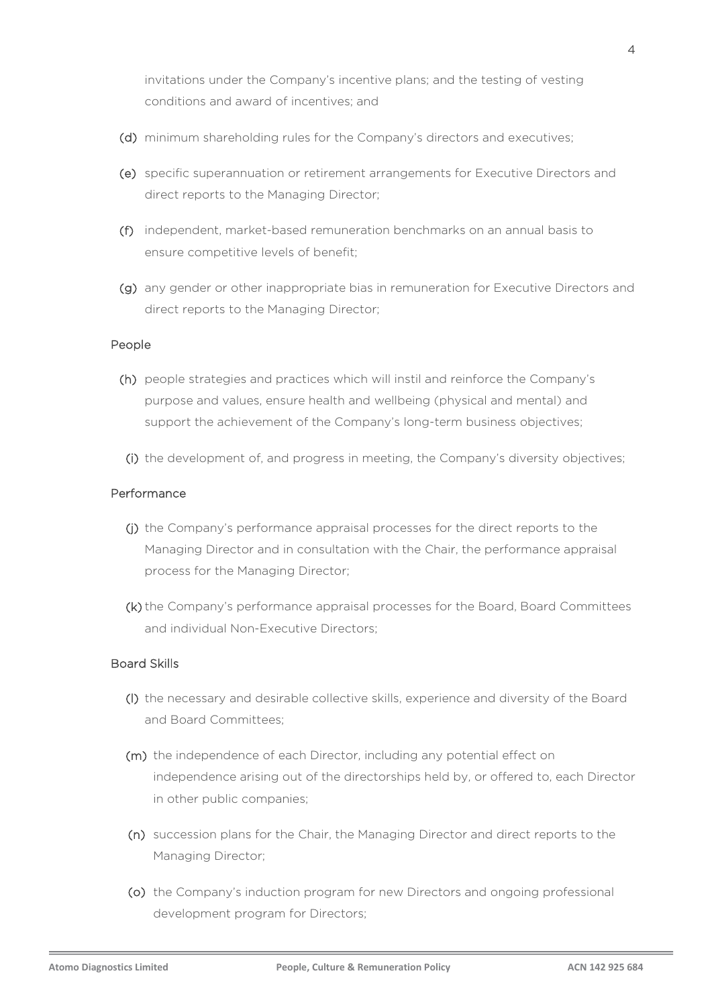invitations under the Company's incentive plans; and the testing of vesting conditions and award of incentives; and

- (d) minimum shareholding rules for the Company's directors and executives;
- (e) specific superannuation or retirement arrangements for Executive Directors and direct reports to the Managing Director;
- (f) independent, market-based remuneration benchmarks on an annual basis to ensure competitive levels of benefit;
- (g) any gender or other inappropriate bias in remuneration for Executive Directors and direct reports to the Managing Director;

#### People

- (h) people strategies and practices which will instil and reinforce the Company's purpose and values, ensure health and wellbeing (physical and mental) and support the achievement of the Company's long-term business objectives;
- (i) the development of, and progress in meeting, the Company's diversity objectives;

#### Performance

- (j) the Company's performance appraisal processes for the direct reports to the Managing Director and in consultation with the Chair, the performance appraisal process for the Managing Director;
- (k) the Company's performance appraisal processes for the Board, Board Committees and individual Non-Executive Directors;

#### Board Skills

- (l) the necessary and desirable collective skills, experience and diversity of the Board and Board Committees;
- (m) the independence of each Director, including any potential effect on independence arising out of the directorships held by, or offered to, each Director in other public companies;
- (n) succession plans for the Chair, the Managing Director and direct reports to the Managing Director;
- (o) the Company's induction program for new Directors and ongoing professional development program for Directors;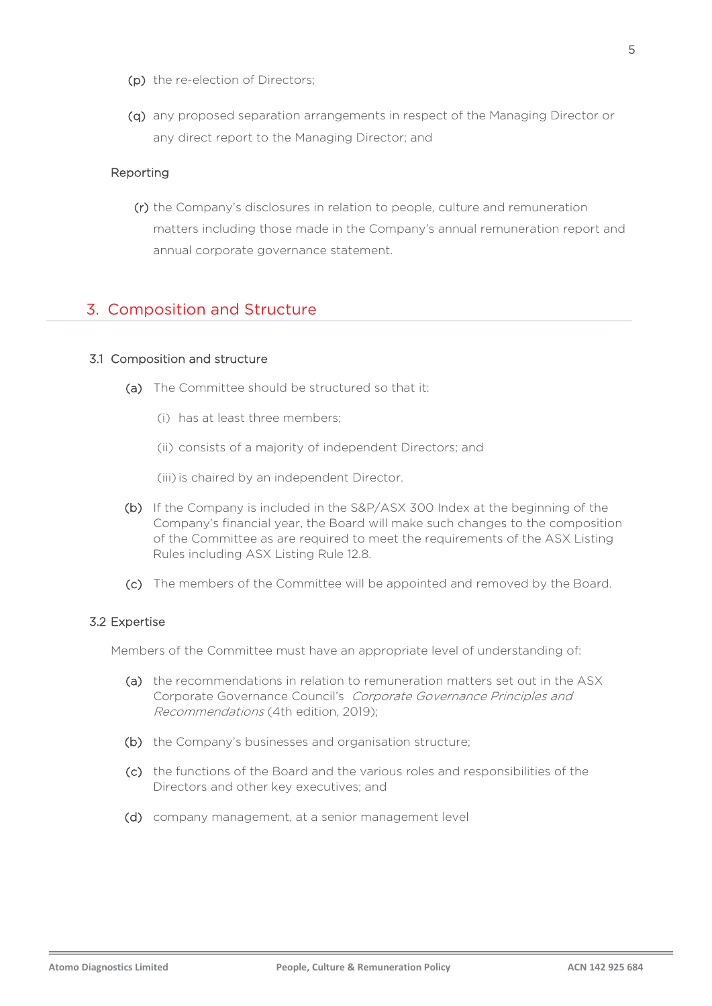- (p) the re-election of Directors;
- (q) any proposed separation arrangements in respect of the Managing Director or any direct report to the Managing Director; and

#### Reporting

(r) the Company's disclosures in relation to people, culture and remuneration matters including those made in the Company's annual remuneration report and annual corporate governance statement.

### 3. Composition and Structure

#### 3.1 Composition and structure

- (a) The Committee should be structured so that it:
	- (i) has at least three members;
	- (ii) consists of a majority of independent Directors; and

(iii) is chaired by an independent Director.

- (b) If the Company is included in the S&P/ASX 300 Index at the beginning of the Company's financial year, the Board will make such changes to the composition of the Committee as are required to meet the requirements of the ASX Listing Rules including ASX Listing Rule 12.8.
- (c) The members of the Committee will be appointed and removed by the Board.

#### 3.2 Expertise

Members of the Committee must have an appropriate level of understanding of:

- (a) the recommendations in relation to remuneration matters set out in the ASX Corporate Governance Council's [Corporate Governance Principles and](http://www.asxgroup.com.au/media/PDFs/cg_principles_recommendations_with_2010_amendments.pdf)  Recommendations [\(4th edition, 2019\);](http://www.asxgroup.com.au/media/PDFs/cg_principles_recommendations_with_2010_amendments.pdf)
- (b) the Company's businesses and organisation structure;
- (c) the functions of the Board and the various roles and responsibilities of the Directors and other key executives; and
- (d) company management, at a senior management level